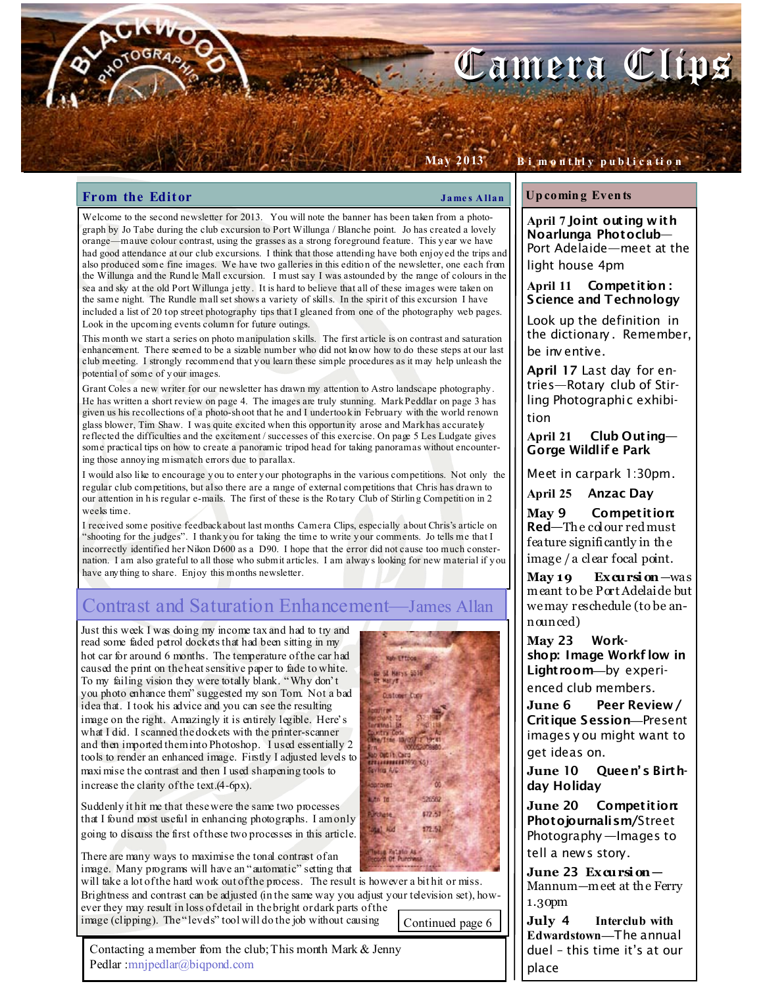# Camera Clins

### **From the Editor**  $\qquad \qquad \qquad$  James Allan

May 2013

Welcome to the second newsletter for 2013. You will note the banner has been taken from a photograph by Jo Tabe during the club excursion to Port Willunga / Blanche point. Jo has created a lovely orange—mauve colour contrast, using the grasses as a strong foreground feature. This y ear we have had good attendance at our club excursions. I think that those attending have both enjoy ed the trips and also produced some fine images. We have two galleries in this editio n of the newsletter, one each from the Willunga and the Rund le Mall excursion. I must say I was astounded by the range of colours in the sea and sky at the old Port Willunga jetty . It is hard to believe that all of these images were taken on the same night. The Rundle mall set shows a variety of skills. In the spirit of this excursion I have included a list of 20 top street photography tips that I gleaned from one of the photography web pages. Look in the upcoming events column for future outings.

This month we start a series on photo manipulation skills. The first article is on contrast and saturation enhancement. There seemed to be a sizable number who did not kn ow how to do these steps at our last club meeting. I strongly recommend that y ou learn these simple procedures as it may help unleash the potential of some of y our images.

Grant Coles a new writer for our newsletter has drawn my attention to Astro landscape photography . He has written a short review on page 4. The images are truly stunning. Mark Peddlar on page 3 has given us his recollections of a photo-sh oot that he and I undertoo k in February with the world renown glass blower, Tim Shaw. I was quite excited when this opportun ity arose and Mark has accurately reflected the difficulties and the excitement / successes of this exercise. On page 5 Les Ludgate gives some practical tips on how to create a panoramic tripod head for taking panoramas without encountering those annoy ing mismatch errors due to parallax.

I would also like to encourage y ou to enter y our photographs in the various competitions. Not only the regular club competitions, but also there are a range of external competitions that Chris has drawn to our attention in h is regular e-mails. The first of these is the Ro tary Club of Stirling Competition in 2 weeks time.

I received some positive feedback about last months Camera Clips, especially about Chris's article on "shooting for the judges". I thank y ou for taking the time to write y our comments. Jo tells me that I incorrectly identified her Nikon D600 as a D90. I hope that the error did not cause too much consternation. I am also grateful to all those who submit articles. I am alway s looking for new material if y ou have any thing to share. Enjoy this months newsletter.

# Contrast and Saturation Enhancement—James Allan

Just this week I was doing my income tax and had to try and read some faded petrol dockets that had been sitting in my hot car for around 6 months. The temperature of the car had caused the print on the heat sensitive paper to fade to white. To my failing vision they were totally blank. "Why don't you photo enhance them" suggested my son Tom. Not a bad idea that. I took his advice and you can see the resulting image on the right. Amazingly it is entirely legible. Here's what I did. I scanned the dockets with the printer-scanner and then imported them into Photoshop. I used essentially 2 tools to render an enhanced image. Firstly I adjusted levels to maxi mise the contrast and then I used sharpening tools to increase the clarity of the text.(4-6px).

Suddenly it hit me that these were the same two processes that I found most useful in enhancing photographs. I am only going to discuss the first of these two processes in this article.

There are many ways to maximise the tonal contrast of an image. Many programs will have an "automatic" setting that

will take a lot of the hard work out of the process. The result is however a bit hit or miss. Brightness and contrast can be adjusted (in the same way you adjust your television set), however they may result in loss of detail in the bright or dark parts of the image (clipping). The "levels" tool will do the job without causing

Continued page 6

Contacting a member from the club; This month Mark & Jenny Pedlar :mnjpedlar@biqpond.com



### Up comin g Even ts

April 7 Joint outing with Noarlunga Photoclub— Port Adelaide—meet at the light house 4pm

B i m o n t hl y p u b l i c a ti o n

April 11 Competition: Science and Technology

Look up the definition in the dictionary . Remember, be inv entive.

April 17 Last day for entries—Rotary club of Stirling Photographic exhibition

April 21 Club Outing— Gorge Wildlif e Park

Meet in carpark 1:30pm.

April 25 Anzac Day

May 9 Competition: Red—The colour red must feature significantly in the image / a clear focal point.

 $M$ ay 19 Excursion—was m eant to be Port Adelaide but we may reschedule (to be announced)

May 23 Workshop: Image Workf low in Lightroom—by experienced club members.

June 6 Peer Review/ Critique Session—Present images y ou might want to get ideas on.

June 10 Queen's Birthday Holiday

June 20 Competition: Photojournalism/Street Photography —Images to tell a news story.

June 23  $Exqursi$  on  $-$ Mannum—m eet at the Ferry 1.30pm

July 4 Interclub with Edwardstown—The annual duel – this time it's at our place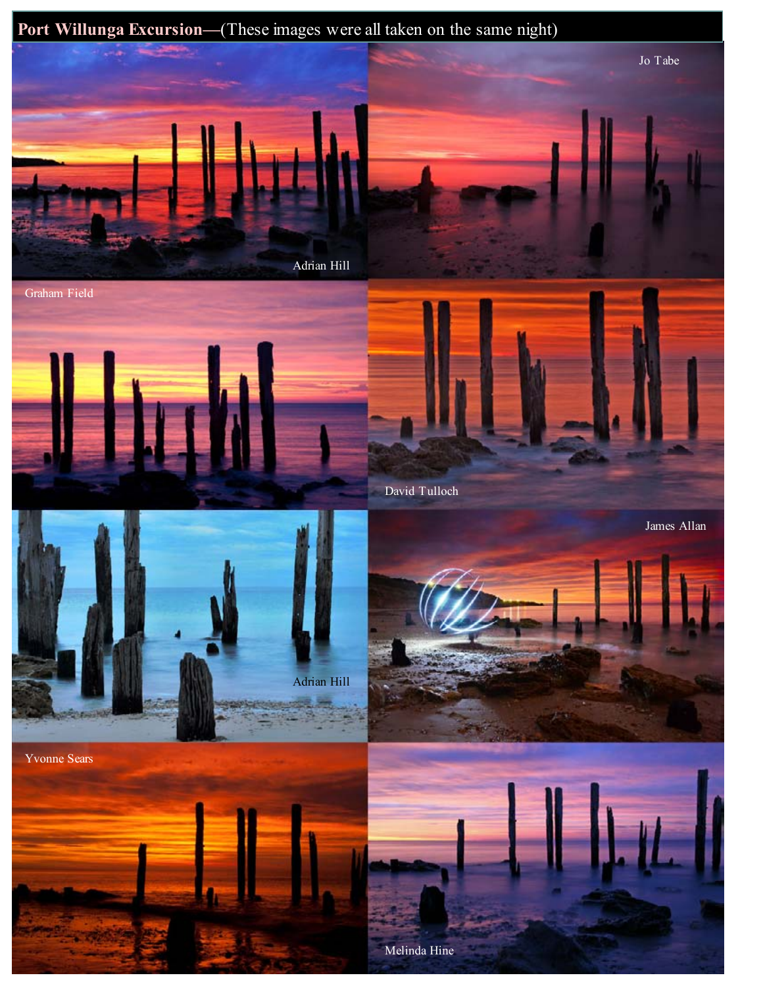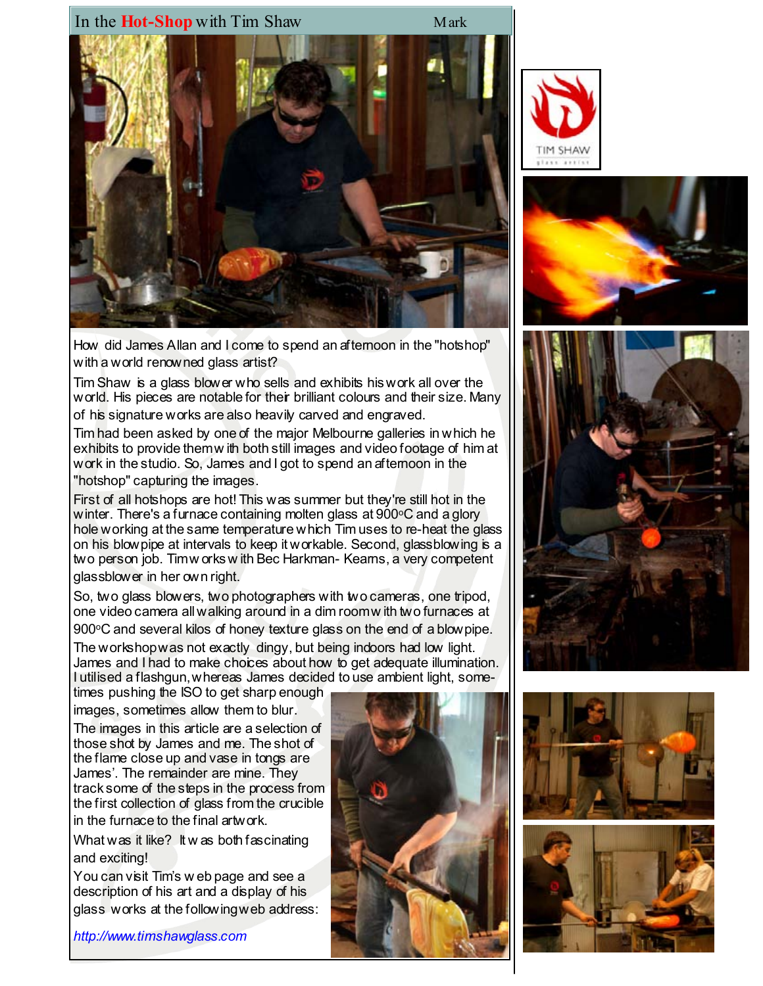



How did James Allan and I come to spend an afternoon in the "hotshop" with a world renowned glass artist?

Tim Shaw is a glass blower who sells and exhibits his work all over the world. His pieces are notable for their brilliant colours and their size. Many of his signature works are also heavily carved and engraved.

Tim had been asked by one of the major Melbourne galleries in which he exhibits to provide them w ith both still images and video footage of him at work in the studio. So, James and I got to spend an afternoon in the "hotshop" capturing the images.

First of all hotshops are hot! This was summer but they're still hot in the winter. There's a furnace containing molten glass at  $900^{\circ}$ C and a glory hole working at the same temperature which Tim uses to re-heat the glass on his blowpipe at intervals to keep it workable. Second, glassblowing is a two person job. Timw orks w ith Bec Harkman- Keams, a very competent glassblower in her own right.

So, two glass blowers, two photographers with two cameras, one tripod, one video camera all walking around in a dim room w ith two furnaces at 900°C and several kilos of honey texture glass on the end of a blow pipe.

The workshop was not exactly dingy, but being indoors had low light. James and I had to make choices about how to get adequate illumination. I utilised a flashgun, whereas James decided to use ambient light, some-

times pushing the ISO to get sharp enough images, sometimes allow them to blur.

The images in this article are a selection of those shot by James and me. The shot of the flame close up and vase in tongs are James'. The remainder are mine. They track some of the steps in the process from the first collection of glass from the crucible in the furnace to the final artwork.

What was it like? It was both fascinating and exciting!

You can visit Tim's w eb page and see a description of his art and a display of his glass works at the following web address:

http://www.timshawglass.com







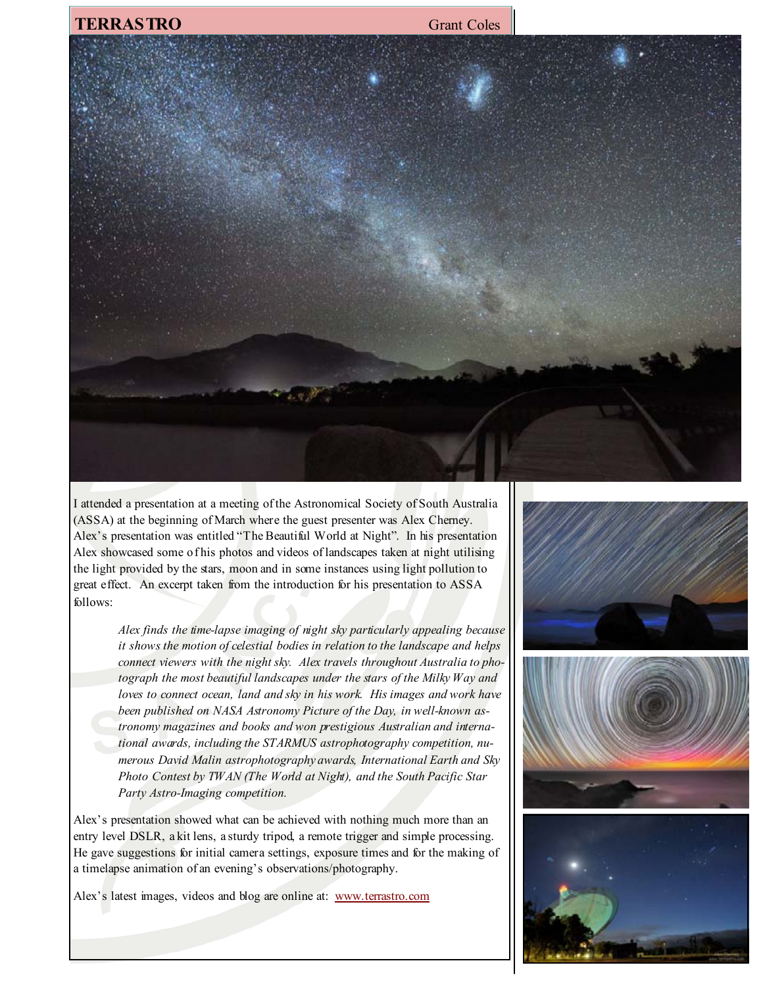## **TERRASTRO** Grant Coles



I attended a presentation at a meeting of the Astronomical Society of South Australia (ASSA) at the beginning of March where the guest presenter was Alex Cherney. Alex's presentation was entitled "The Beautiful World at Night". In his presentation Alex showcased some of his photos and videos of landscapes taken at night utilising the light provided by the stars, moon and in some instances using light pollution to great effect. An excerpt taken from the introduction for his presentation to ASSA follows:

> Alex finds the time-lapse imaging of night sky particularly appealing because it shows the motion of celestial bodies in relation to the landscape and helps connect viewers with the night sky. Alex travels throughout Australia to photograph the most beautiful landscapes under the stars of the Milky Way and loves to connect ocean, land and sky in his work. His images and work have been published on NASA Astronomy Picture of the Day, in well-known astronomy magazines and books and won prestigious Australian and international awards, including the STARMUS astrophotography competition, numerous David Malin astrophotography awards, International Earth and Sky Photo Contest by TWAN (The World at Night), and the South Pacific Star Party Astro-Imaging competition.

Alex's presentation showed what can be achieved with nothing much more than an entry level DSLR, a kit lens, a sturdy tripod, a remote trigger and simple processing. He gave suggestions for initial camera settings, exposure times and for the making of a timelapse animation of an evening's observations/photography.

Alex's latest images, videos and blog are online at: www.terrastro.com

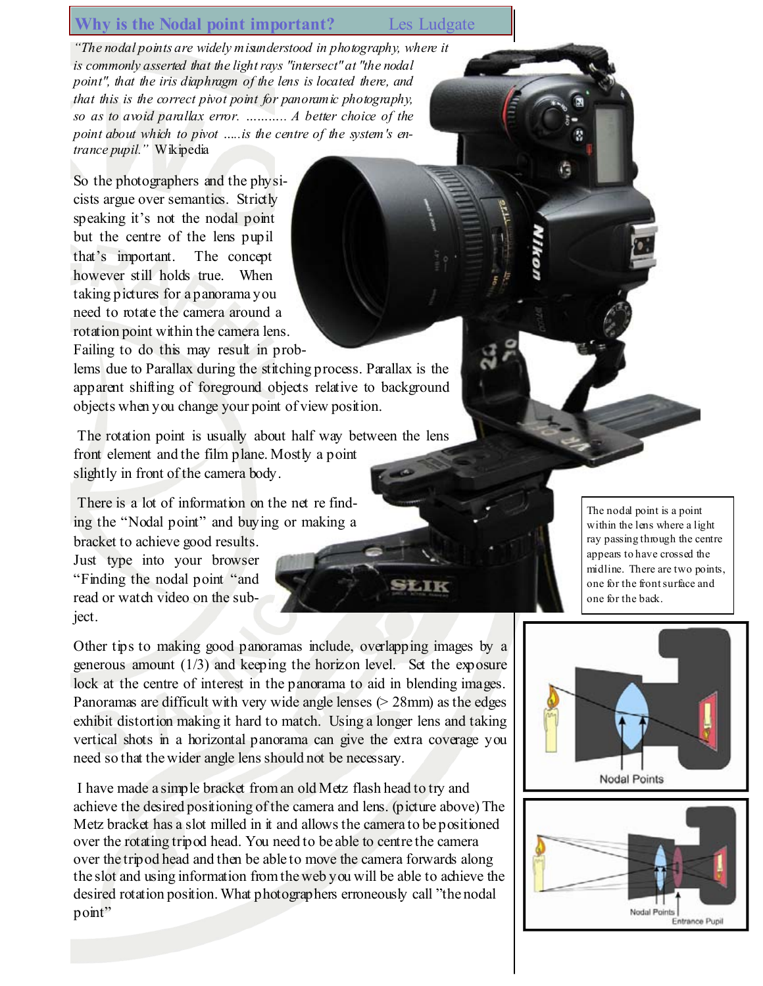# Why is the Nodal point important? Les Ludgate

**STATK** 

"The nodal points are widely misunderstood in photography, where it is commonly asserted that the light rays "intersect" at "the nodal point", that the iris diaphragm of the lens is located there, and that this is the correct pivot point for panoramic photography, so as to avoid parallax error. ……….. A better choice of the point about which to pivot ..... is the centre of the system's entrance pupil." Wikipedia

So the photographers and the physicists argue over semantics. Strictly speaking it's not the nodal point but the centre of the lens pupil that's important. The concept however still holds true. When taking pictures for a panorama you need to rotate the camera around a rotation point within the camera lens. Failing to do this may result in prob-

lems due to Parallax during the stitching process. Parallax is the apparent shifting of foreground objects relative to background objects when you change your point of view position.

 The rotation point is usually about half way between the lens front element and the film plane. Mostly a point slightly in front of the camera body.

 There is a lot of information on the net re finding the "Nodal point" and buying or making a

bracket to achieve good results. Just type into your browser "Finding the nodal point "and read or watch video on the subject.

Other tips to making good panoramas include, overlapping images by a generous amount  $(1/3)$  and keeping the horizon level. Set the exposure lock at the centre of interest in the panorama to aid in blending images. Panoramas are difficult with very wide angle lenses  $(> 28$ mm) as the edges exhibit distortion making it hard to match. Using a longer lens and taking vertical shots in a horizontal panorama can give the extra coverage you need so that the wider angle lens should not be necessary.

 I have made a simple bracket from an old Metz flash head to try and achieve the desired positioning of the camera and lens. (picture above) The Metz bracket has a slot milled in it and allows the camera to be positioned over the rotating tripod head. You need to be able to centre the camera over the tripod head and then be able to move the camera forwards along the slot and using information from the web you will be able to achieve the desired rotation position. What photographers erroneously call "the nodal point"

The nodal point is a point within the lens where a light ray passing through the centre appears to have crossed the midline. There are two points, one for the front surface and one for the back.



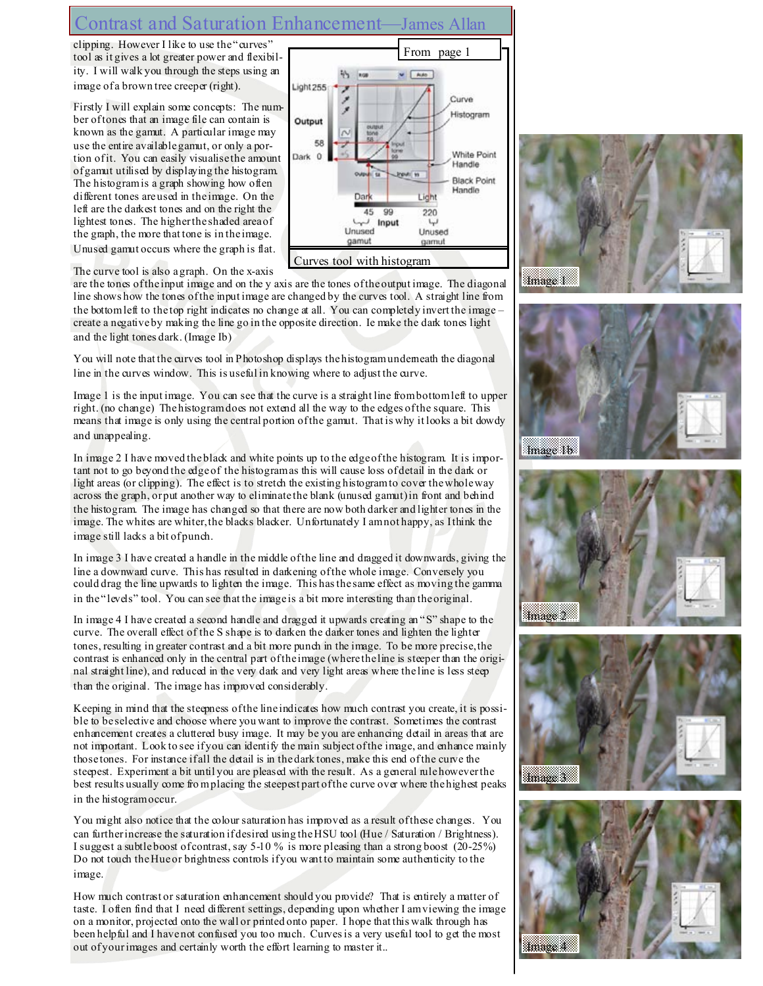# Contrast and Saturation Enhancement—James Allan

clipping. However I like to use the "curves" tool as it gives a lot greater power and flexibility. I will walk you through the steps using an image of a brown tree creeper (right).

Firstly I will explain some concepts: The number of tones that an image file can contain is known as the gamut. A particular image may use the entire available gamut, or only a portion of it. You can easily visualise the amount of gamut utilised by displaying the histogram. The histogram is a graph showing how often different tones are used in the image. On the left are the darkest tones and on the right the lightest tones. The higher the shaded area of the graph, the more that tone is in the image. Unused gamut occurs where the graph is flat.



The curve tool is also a graph. On the x-axis

are the tones of the input image and on the y axis are the tones of the output image. The diagonal line shows how the tones of the input image are changed by the curves tool. A straight line from the bottom left to the top right indicates no change at all. You can completely invert the image – create a negative by making the line go in the opposite direction. Ie make the dark tones light and the light tones dark. (Image Ib)

You will note that the curves tool in Photoshop displays the histogram underneath the diagonal line in the curves window. This is useful in knowing where to adjust the curve.

Image 1 is the input image. You can see that the curve is a straight line from bottom left to upper right. (no change) The histogram does not extend all the way to the edges of the square. This means that image is only using the central portion of the gamut. That is why it looks a bit dowdy and unappealing.

In image 2 I have moved the black and white points up to the edge of the histogram. It is important not to go beyond the edge of the histogram as this will cause loss of detail in the dark or light areas (or clipping). The effect is to stretch the existing histogram to cover the whole way across the graph, or put another way to eliminate the blank (unused gamut) in front and behind the histogram. The image has changed so that there are now both darker and lighter tones in the image. The whites are whiter, the blacks blacker. Unfortunately I am not happy, as I think the image still lacks a bit of punch.

In image 3 I have created a handle in the middle of the line and dragged it downwards, giving the line a downward curve. This has resulted in darkening of the whole image. Conversely you could drag the line upwards to lighten the image. This has the same effect as moving the gamma in the "levels" tool. You can see that the image is a bit more interesting than the original.

In image 4 I have created a second handle and dragged it upwards creating an "S" shape to the curve. The overall effect of the S shape is to darken the darker tones and lighten the lighter tones, resulting in greater contrast and a bit more punch in the image. To be more precise, the contrast is enhanced only in the central part of the image (where the line is steeper than the original straight line), and reduced in the very dark and very light areas where the line is less steep than the original. The image has improved considerably.

Keeping in mind that the steepness of the line indicates how much contrast you create, it is possible to be selective and choose where you want to improve the contrast. Sometimes the contrast enhancement creates a cluttered busy image. It may be you are enhancing detail in areas that are not important. Look to see if you can identify the main subject of the image, and enhance mainly those tones. For instance if all the detail is in the dark tones, make this end of the curve the steepest. Experiment a bit until you are pleased with the result. As a general rule however the best results usually come fro m placing the steepest part of the curve over where the highest peaks in the histogram occur.

You might also notice that the colour saturation has improved as a result of these changes. You can further increase the saturation if desired using the HSU tool (Hue / Saturation / Brightness). I suggest a subtle boost of contrast, say 5-10 % is more pleasing than a strong boost (20-25%) Do not touch the Hue or brightness controls if you want to maintain some authenticity to the image.

How much contrast or saturation enhancement should you provide? That is entirely a matter of taste. I often find that I need different settings, depending upon whether I am viewing the image on a monitor, projected onto the wall or printed onto paper. I hope that this walk through has been helpful and I have not confused you too much. Curves is a very useful tool to get the most out of your images and certainly worth the effort learning to master it..